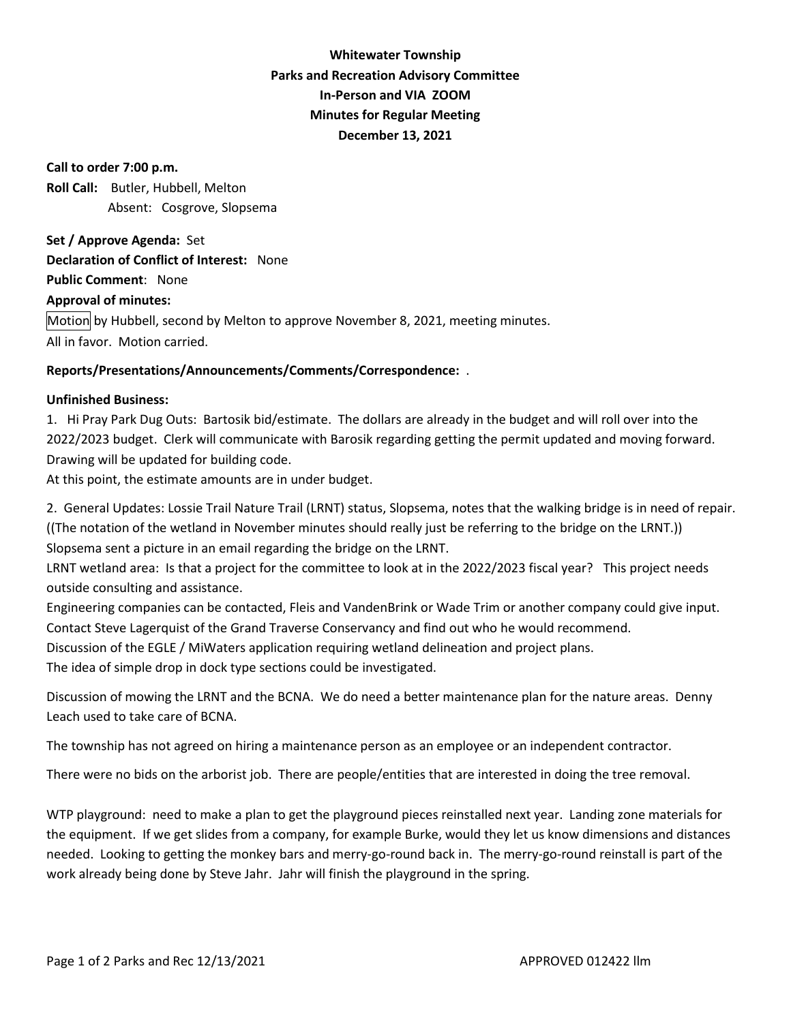## **Whitewater Township Parks and Recreation Advisory Committee In-Person and VIA ZOOM Minutes for Regular Meeting December 13, 2021**

**Call to order 7:00 p.m. Roll Call:** Butler, Hubbell, Melton Absent: Cosgrove, Slopsema

**Set / Approve Agenda:** Set **Declaration of Conflict of Interest:** None **Public Comment**: None **Approval of minutes:**  Motion by Hubbell, second by Melton to approve November 8, 2021, meeting minutes. All in favor. Motion carried.

## **Reports/Presentations/Announcements/Comments/Correspondence:** .

## **Unfinished Business:**

1. Hi Pray Park Dug Outs: Bartosik bid/estimate. The dollars are already in the budget and will roll over into the 2022/2023 budget. Clerk will communicate with Barosik regarding getting the permit updated and moving forward. Drawing will be updated for building code.

At this point, the estimate amounts are in under budget.

2. General Updates: Lossie Trail Nature Trail (LRNT) status, Slopsema, notes that the walking bridge is in need of repair. ((The notation of the wetland in November minutes should really just be referring to the bridge on the LRNT.)) Slopsema sent a picture in an email regarding the bridge on the LRNT.

LRNT wetland area: Is that a project for the committee to look at in the 2022/2023 fiscal year? This project needs outside consulting and assistance.

Engineering companies can be contacted, Fleis and VandenBrink or Wade Trim or another company could give input. Contact Steve Lagerquist of the Grand Traverse Conservancy and find out who he would recommend.

Discussion of the EGLE / MiWaters application requiring wetland delineation and project plans.

The idea of simple drop in dock type sections could be investigated.

Discussion of mowing the LRNT and the BCNA. We do need a better maintenance plan for the nature areas. Denny Leach used to take care of BCNA.

The township has not agreed on hiring a maintenance person as an employee or an independent contractor.

There were no bids on the arborist job. There are people/entities that are interested in doing the tree removal.

WTP playground: need to make a plan to get the playground pieces reinstalled next year. Landing zone materials for the equipment. If we get slides from a company, for example Burke, would they let us know dimensions and distances needed. Looking to getting the monkey bars and merry-go-round back in. The merry-go-round reinstall is part of the work already being done by Steve Jahr. Jahr will finish the playground in the spring.